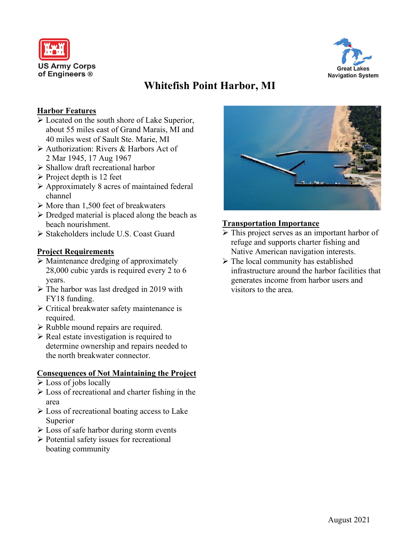



# **Whitefish Point Harbor, MI**

### **Harbor Features**

- Located on the south shore of Lake Superior, about 55 miles east of Grand Marais, MI and 40 miles west of Sault Ste. Marie, MI
- Authorization: Rivers & Harbors Act of 2 Mar 1945, 17 Aug 1967
- Shallow draft recreational harbor
- $\triangleright$  Project depth is 12 feet
- Approximately 8 acres of maintained federal channel
- $\triangleright$  More than 1,500 feet of breakwaters
- $\triangleright$  Dredged material is placed along the beach as beach nourishment.
- Stakeholders include U.S. Coast Guard

### **Project Requirements**

- $\triangleright$  Maintenance dredging of approximately 28,000 cubic yards is required every 2 to 6 years.
- $\triangleright$  The harbor was last dredged in 2019 with FY18 funding.
- $\triangleright$  Critical breakwater safety maintenance is required.
- $\triangleright$  Rubble mound repairs are required.
- $\triangleright$  Real estate investigation is required to determine ownership and repairs needed to the north breakwater connector.

### **Consequences of Not Maintaining the Project**

- $\triangleright$  Loss of jobs locally
- $\triangleright$  Loss of recreational and charter fishing in the area
- $\triangleright$  Loss of recreational boating access to Lake Superior
- $\triangleright$  Loss of safe harbor during storm events
- Potential safety issues for recreational boating community



### **Transportation Importance**

- $\triangleright$  This project serves as an important harbor of refuge and supports charter fishing and Native American navigation interests.
- $\triangleright$  The local community has established infrastructure around the harbor facilities that generates income from harbor users and visitors to the area.